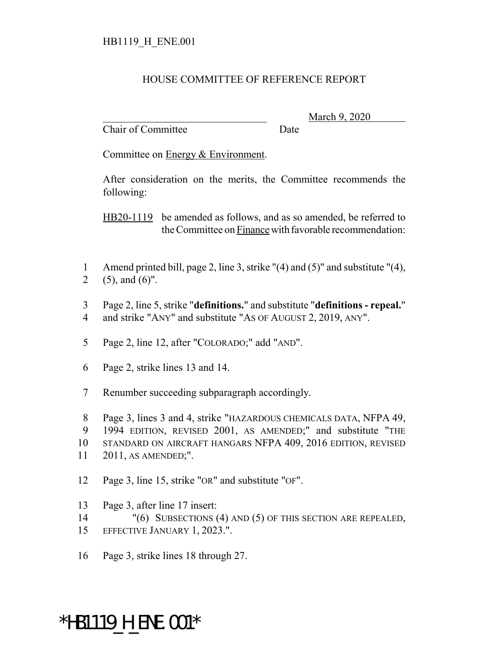## HOUSE COMMITTEE OF REFERENCE REPORT

Chair of Committee Date

\_\_\_\_\_\_\_\_\_\_\_\_\_\_\_\_\_\_\_\_\_\_\_\_\_\_\_\_\_\_\_ March 9, 2020

Committee on Energy & Environment.

After consideration on the merits, the Committee recommends the following:

HB20-1119 be amended as follows, and as so amended, be referred to the Committee on Finance with favorable recommendation:

- 1 Amend printed bill, page 2, line 3, strike "(4) and (5)" and substitute "(4), 2 (5), and  $(6)$ ".
- 3 Page 2, line 5, strike "**definitions.**" and substitute "**definitions repeal.**" 4 and strike "ANY" and substitute "AS OF AUGUST 2, 2019, ANY".
- 5 Page 2, line 12, after "COLORADO;" add "AND".
- 6 Page 2, strike lines 13 and 14.
- 7 Renumber succeeding subparagraph accordingly.
- 8 Page 3, lines 3 and 4, strike "HAZARDOUS CHEMICALS DATA, NFPA 49,
- 9 1994 EDITION, REVISED 2001, AS AMENDED;" and substitute "THE
- 10 STANDARD ON AIRCRAFT HANGARS NFPA 409, 2016 EDITION, REVISED
- 11 2011, AS AMENDED;".
- 12 Page 3, line 15, strike "OR" and substitute "OF".
- 13 Page 3, after line 17 insert:
- 14 "(6) SUBSECTIONS (4) AND (5) OF THIS SECTION ARE REPEALED,
- 15 EFFECTIVE JANUARY 1, 2023.".
- 16 Page 3, strike lines 18 through 27.

## \*HB1119\_H\_ENE.001\*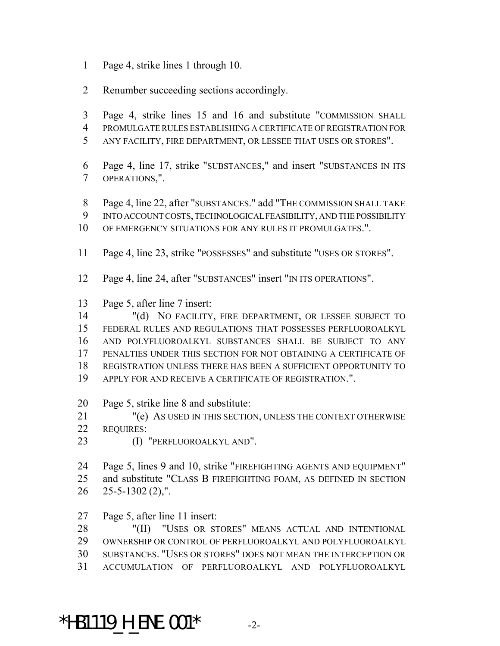- Page 4, strike lines 1 through 10.
- Renumber succeeding sections accordingly.
- Page 4, strike lines 15 and 16 and substitute "COMMISSION SHALL
- PROMULGATE RULES ESTABLISHING A CERTIFICATE OF REGISTRATION FOR
- ANY FACILITY, FIRE DEPARTMENT, OR LESSEE THAT USES OR STORES".
- Page 4, line 17, strike "SUBSTANCES," and insert "SUBSTANCES IN ITS OPERATIONS,".
- Page 4, line 22, after "SUBSTANCES." add "THE COMMISSION SHALL TAKE
- INTO ACCOUNT COSTS, TECHNOLOGICAL FEASIBILITY, AND THE POSSIBILITY
- OF EMERGENCY SITUATIONS FOR ANY RULES IT PROMULGATES.".
- Page 4, line 23, strike "POSSESSES" and substitute "USES OR STORES".
- Page 4, line 24, after "SUBSTANCES" insert "IN ITS OPERATIONS".
- Page 5, after line 7 insert:

 "(d) NO FACILITY, FIRE DEPARTMENT, OR LESSEE SUBJECT TO FEDERAL RULES AND REGULATIONS THAT POSSESSES PERFLUOROALKYL AND POLYFLUOROALKYL SUBSTANCES SHALL BE SUBJECT TO ANY PENALTIES UNDER THIS SECTION FOR NOT OBTAINING A CERTIFICATE OF REGISTRATION UNLESS THERE HAS BEEN A SUFFICIENT OPPORTUNITY TO APPLY FOR AND RECEIVE A CERTIFICATE OF REGISTRATION.".

- Page 5, strike line 8 and substitute:
- "(e) AS USED IN THIS SECTION, UNLESS THE CONTEXT OTHERWISE REQUIRES:
- (I) "PERFLUOROALKYL AND".

 Page 5, lines 9 and 10, strike "FIREFIGHTING AGENTS AND EQUIPMENT" and substitute "CLASS B FIREFIGHTING FOAM, AS DEFINED IN SECTION  $26 \quad 25 - 5 - 1302 \,(2)$ ,".

Page 5, after line 11 insert:

 "(II) "USES OR STORES" MEANS ACTUAL AND INTENTIONAL OWNERSHIP OR CONTROL OF PERFLUOROALKYL AND POLYFLUOROALKYL SUBSTANCES. "USES OR STORES" DOES NOT MEAN THE INTERCEPTION OR ACCUMULATION OF PERFLUOROALKYL AND POLYFLUOROALKYL

\*HB1119 H ENE.001\*  $-2$ -